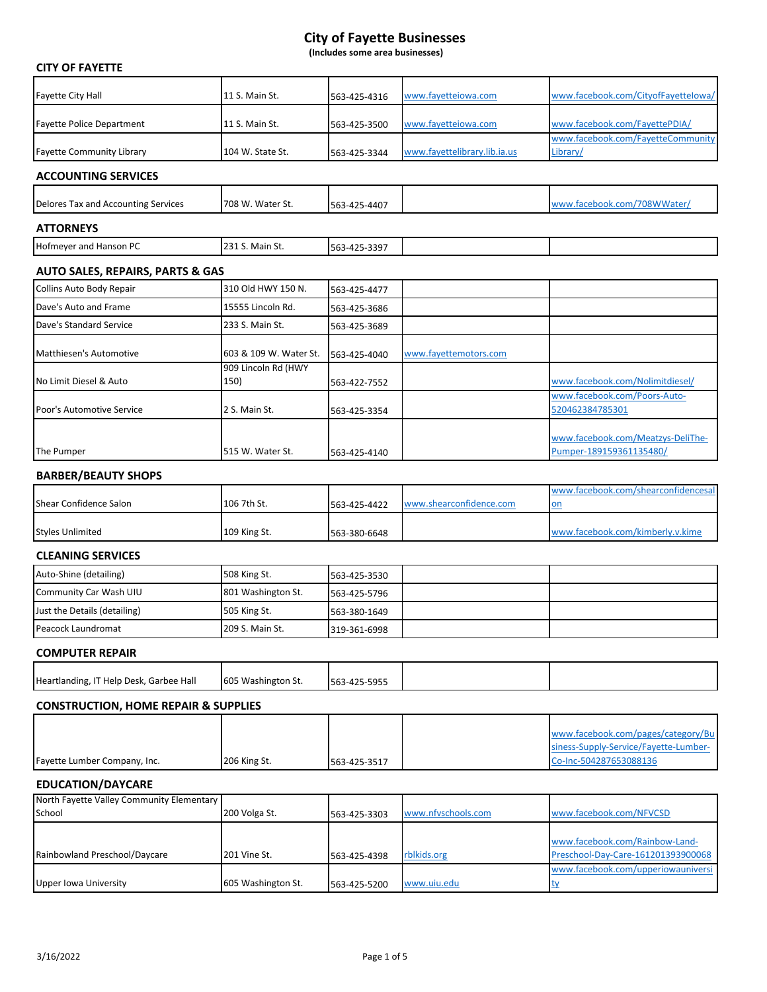**(Includes some area businesses)**

| <b>CITY OF FAYETTE</b>                              |                             |              |                              |                                                                             |
|-----------------------------------------------------|-----------------------------|--------------|------------------------------|-----------------------------------------------------------------------------|
| <b>Fayette City Hall</b>                            | 11 S. Main St.              | 563-425-4316 | www.fayetteiowa.com          | www.facebook.com/CityofFayettelowa/                                         |
| <b>Fayette Police Department</b>                    | 11 S. Main St.              | 563-425-3500 | www.fayetteiowa.com          | www.facebook.com/FayettePDIA/                                               |
| <b>Fayette Community Library</b>                    | 104 W. State St.            | 563-425-3344 | www.fayettelibrary.lib.ia.us | www.facebook.com/FayetteCommunity<br>Library/                               |
| <b>ACCOUNTING SERVICES</b>                          |                             |              |                              |                                                                             |
| Delores Tax and Accounting Services                 | 708 W. Water St.            | 563-425-4407 |                              | www.facebook.com/708WWater/                                                 |
| <b>ATTORNEYS</b>                                    |                             |              |                              |                                                                             |
| Hofmeyer and Hanson PC                              | 231 S. Main St.             | 563-425-3397 |                              |                                                                             |
| <b>AUTO SALES, REPAIRS, PARTS &amp; GAS</b>         |                             |              |                              |                                                                             |
| Collins Auto Body Repair                            | 310 Old HWY 150 N.          | 563-425-4477 |                              |                                                                             |
| Dave's Auto and Frame                               | 15555 Lincoln Rd.           | 563-425-3686 |                              |                                                                             |
| Dave's Standard Service                             | 233 S. Main St.             | 563-425-3689 |                              |                                                                             |
| Matthiesen's Automotive                             | 603 & 109 W. Water St.      | 563-425-4040 | www.fayettemotors.com        |                                                                             |
| No Limit Diesel & Auto                              | 909 Lincoln Rd (HWY<br>150) | 563-422-7552 |                              | www.facebook.com/Nolimitdiesel/                                             |
|                                                     |                             |              |                              | www.facebook.com/Poors-Auto-                                                |
| Poor's Automotive Service                           | 2 S. Main St.               | 563-425-3354 |                              | 520462384785301                                                             |
| The Pumper                                          | 515 W. Water St.            | 563-425-4140 |                              | www.facebook.com/Meatzys-DeliThe-<br>Pumper-189159361135480/                |
| <b>BARBER/BEAUTY SHOPS</b>                          |                             |              |                              |                                                                             |
| <b>Shear Confidence Salon</b>                       | 106 7th St.                 | 563-425-4422 | www.shearconfidence.com      | www.facebook.com/shearconfidencesal<br><u>on</u>                            |
| <b>Styles Unlimited</b>                             | 109 King St.                | 563-380-6648 |                              | www.facebook.com/kimberly.v.kime                                            |
| <b>CLEANING SERVICES</b>                            |                             |              |                              |                                                                             |
| Auto-Shine (detailing)                              | 508 King St.                | 563-425-3530 |                              |                                                                             |
| Community Car Wash UIU                              | 801 Washington St.          | 563-425-5796 |                              |                                                                             |
| Just the Details (detailing)                        | 505 King St.                | 563-380-1649 |                              |                                                                             |
| Peacock Laundromat                                  | 209 S. Main St.             | 319-361-6998 |                              |                                                                             |
| <b>COMPUTER REPAIR</b>                              |                             |              |                              |                                                                             |
| Heartlanding, IT Help Desk, Garbee Hall             | 605 Washington St.          | 563-425-5955 |                              |                                                                             |
| <b>CONSTRUCTION, HOME REPAIR &amp; SUPPLIES</b>     |                             |              |                              |                                                                             |
|                                                     |                             |              |                              |                                                                             |
|                                                     |                             |              |                              | www.facebook.com/pages/category/Bu<br>siness-Supply-Service/Fayette-Lumber- |
| Fayette Lumber Company, Inc.                        | 206 King St.                | 563-425-3517 |                              | Co-Inc-504287653088136                                                      |
| <b>EDUCATION/DAYCARE</b>                            |                             |              |                              |                                                                             |
| North Fayette Valley Community Elementary<br>School | 200 Volga St.               | 563-425-3303 | www.nfvschools.com           | www.facebook.com/NFVCSD                                                     |
|                                                     |                             |              |                              |                                                                             |
|                                                     |                             |              |                              | www.facebook.com/Rainbow-Land-                                              |
| Rainbowland Preschool/Daycare                       | 201 Vine St.                | 563-425-4398 | rblkids.org                  | Preschool-Day-Care-161201393900068<br>www.facebook.com/upperiowauniversi    |
| <b>Upper Iowa University</b>                        | 605 Washington St.          | 563-425-5200 | www.uiu.edu                  | <u>ty</u>                                                                   |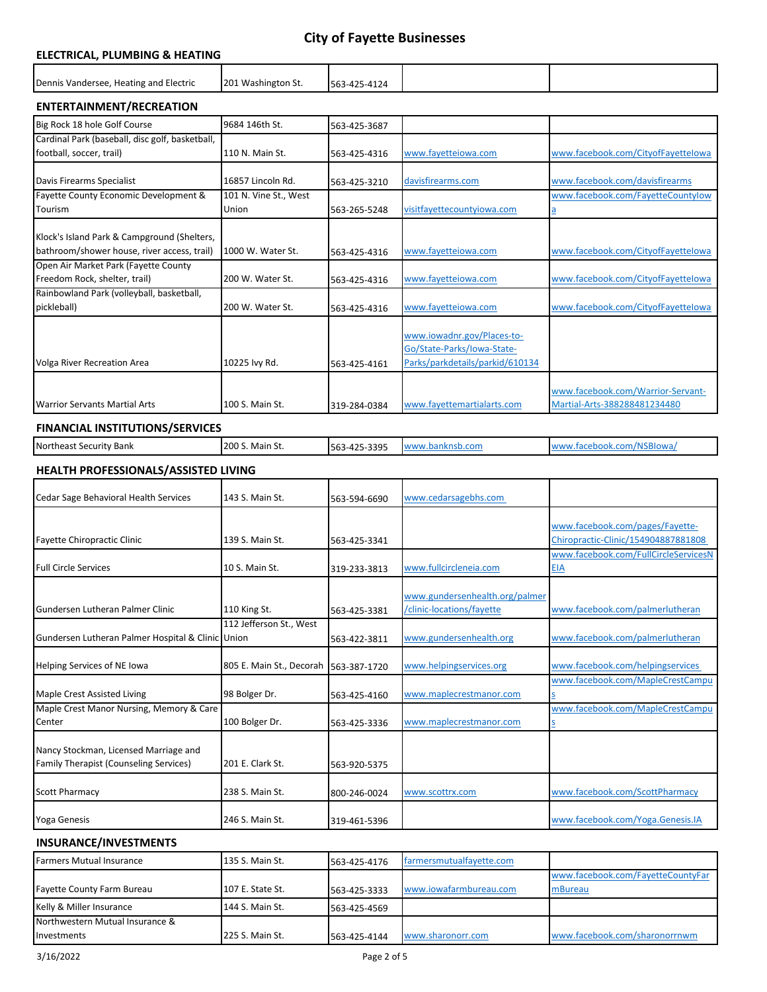### **ELECTRICAL, PLUMBING & HEATING**

| Dennis Vandersee, Heating and Electric | 201 Washington St. | 563-425-4124 |  |
|----------------------------------------|--------------------|--------------|--|
|                                        |                    |              |  |

#### **ENTERTAINMENT/RECREATION**

| Big Rock 18 hole Golf Course                    | 9684 146th St.        | 563-425-3687 |                                 |                                    |
|-------------------------------------------------|-----------------------|--------------|---------------------------------|------------------------------------|
| Cardinal Park (baseball, disc golf, basketball, |                       |              |                                 |                                    |
| football, soccer, trail)                        | 110 N. Main St.       | 563-425-4316 | www.fayetteiowa.com             | www.facebook.com/CityofFayettelowa |
|                                                 |                       |              |                                 |                                    |
| Davis Firearms Specialist                       | 16857 Lincoln Rd.     | 563-425-3210 | davisfirearms.com               | www.facebook.com/davisfirearms     |
| Fayette County Economic Development &           | 101 N. Vine St., West |              |                                 | www.facebook.com/FayetteCountylow  |
| Tourism                                         | Union                 | 563-265-5248 | visitfayettecountyiowa.com      |                                    |
|                                                 |                       |              |                                 |                                    |
| Klock's Island Park & Campground (Shelters,     |                       |              |                                 |                                    |
| bathroom/shower house, river access, trail)     | 1000 W. Water St.     | 563-425-4316 | www.fayetteiowa.com             | www.facebook.com/CityofFayettelowa |
| Open Air Market Park (Fayette County            |                       |              |                                 |                                    |
| Freedom Rock, shelter, trail)                   | 200 W. Water St.      | 563-425-4316 | www.fayetteiowa.com             | www.facebook.com/CityofFayettelowa |
| Rainbowland Park (volleyball, basketball,       |                       |              |                                 |                                    |
| pickleball)                                     | 200 W. Water St.      | 563-425-4316 | www.fayetteiowa.com             | www.facebook.com/CityofFayettelowa |
|                                                 |                       |              |                                 |                                    |
|                                                 |                       |              | www.iowadnr.gov/Places-to-      |                                    |
|                                                 |                       |              | Go/State-Parks/Iowa-State-      |                                    |
| Volga River Recreation Area                     | 10225 lvy Rd.         | 563-425-4161 | Parks/parkdetails/parkid/610134 |                                    |
|                                                 |                       |              |                                 |                                    |
|                                                 |                       |              |                                 | www.facebook.com/Warrior-Servant-  |
| <b>Warrior Servants Martial Arts</b>            | 100 S. Main St.       | 319-284-0384 | www.fayettemartialarts.com      | Martial-Arts-388288481234480       |

### **FINANCIAL INSTITUTIONS/SERVICES**

|  | Northeast<br>Bank<br>.ecurit <sup>.</sup><br>50 <sup>o</sup> | 200<br>. Main St. | חמר<br>563<br>-555<br>.<br>$\sim$<br>. | .w | <b>A</b><br>.310W |
|--|--------------------------------------------------------------|-------------------|----------------------------------------|----|-------------------|
|--|--------------------------------------------------------------|-------------------|----------------------------------------|----|-------------------|

#### **HEALTH PROFESSIONALS/ASSISTED LIVING**

| Cedar Sage Behavioral Health Services             | 143 S. Main St.                       | 563-594-6690 | www.cedarsagebhs.com           |                                      |
|---------------------------------------------------|---------------------------------------|--------------|--------------------------------|--------------------------------------|
|                                                   |                                       |              |                                |                                      |
|                                                   |                                       |              |                                | www.facebook.com/pages/Fayette-      |
| Fayette Chiropractic Clinic                       | 139 S. Main St.                       | 563-425-3341 |                                | Chiropractic-Clinic/154904887881808  |
|                                                   |                                       |              |                                | www.facebook.com/FullCircleServicesN |
| <b>Full Circle Services</b>                       | 10 S. Main St.                        | 319-233-3813 | www.fullcircleneia.com         | <u>EIA</u>                           |
|                                                   |                                       |              |                                |                                      |
|                                                   |                                       |              | www.gundersenhealth.org/palmer |                                      |
| Gundersen Lutheran Palmer Clinic                  | 110 King St.                          | 563-425-3381 | /clinic-locations/fayette      | www.facebook.com/palmerlutheran      |
|                                                   | 112 Jefferson St., West               |              |                                |                                      |
| Gundersen Lutheran Palmer Hospital & Clinic Union |                                       | 563-422-3811 | www.gundersenhealth.org        | www.facebook.com/palmerlutheran      |
|                                                   |                                       |              |                                |                                      |
| <b>Helping Services of NE Iowa</b>                | 805 E. Main St., Decorah 563-387-1720 |              | www.helpingservices.org        | www.facebook.com/helpingservices     |
|                                                   |                                       |              |                                | www.facebook.com/MapleCrestCampu     |
| Maple Crest Assisted Living                       | 98 Bolger Dr.                         | 563-425-4160 | www.maplecrestmanor.com        |                                      |
| Maple Crest Manor Nursing, Memory & Care          |                                       |              |                                | www.facebook.com/MapleCrestCampu     |
| Center                                            | 100 Bolger Dr.                        | 563-425-3336 | www.maplecrestmanor.com        |                                      |
|                                                   |                                       |              |                                |                                      |
| Nancy Stockman, Licensed Marriage and             |                                       |              |                                |                                      |
| Family Therapist (Counseling Services)            | 201 E. Clark St.                      | 563-920-5375 |                                |                                      |
|                                                   |                                       |              |                                |                                      |
| <b>Scott Pharmacy</b>                             | 238 S. Main St.                       | 800-246-0024 | www.scottrx.com                | www.facebook.com/ScottPharmacy       |
|                                                   |                                       |              |                                |                                      |
| <b>Yoga Genesis</b>                               | 246 S. Main St.                       | 319-461-5396 |                                | www.facebook.com/Yoga.Genesis.IA     |

### **INSURANCE/INVESTMENTS**

| Farmers Mutual Insurance        | 135 S. Main St.  | 563-425-4176 | farmersmutualfayette.com |                                   |
|---------------------------------|------------------|--------------|--------------------------|-----------------------------------|
|                                 |                  |              |                          | www.facebook.com/FayetteCountyFar |
| Fayette County Farm Bureau      | 107 E. State St. | 563-425-3333 | www.jowafarmbureau.com   | mBureau                           |
| Kelly & Miller Insurance        | 144 S. Main St.  | 563-425-4569 |                          |                                   |
| Northwestern Mutual Insurance & |                  |              |                          |                                   |
| <b>Investments</b>              | 225 S. Main St.  | 563-425-4144 | www.sharonorr.com        | www.facebook.com/sharonorrnwm     |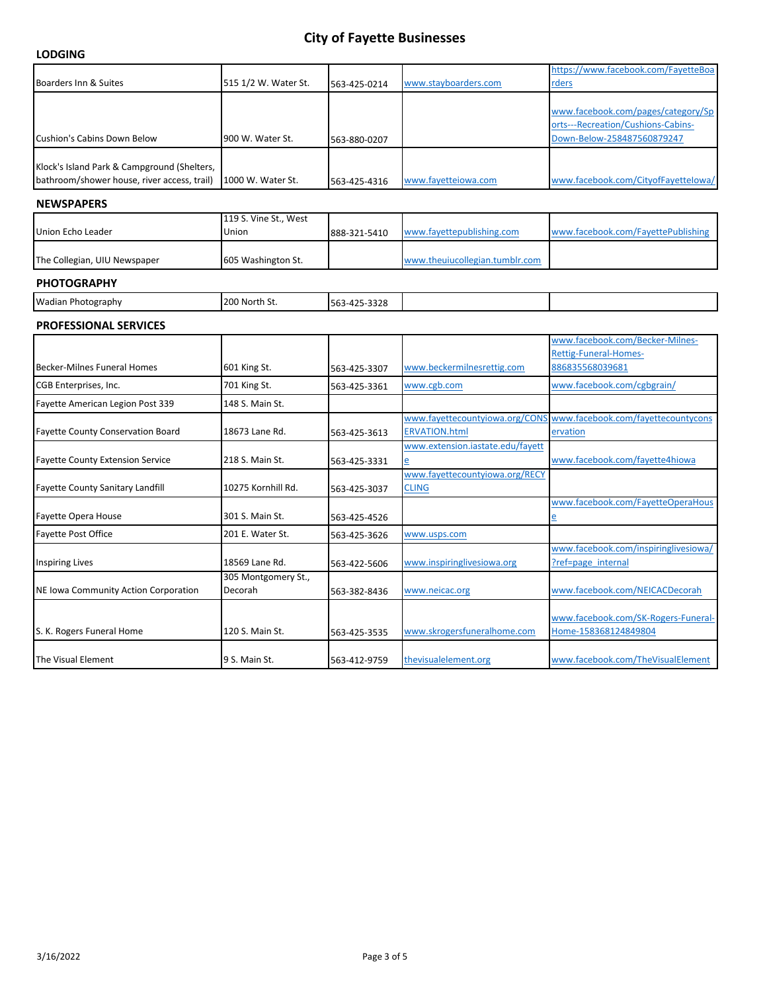|                                             |                       |              |                                                          | https://www.facebook.com/FayetteBoa                         |
|---------------------------------------------|-----------------------|--------------|----------------------------------------------------------|-------------------------------------------------------------|
| Boarders Inn & Suites                       | 515 1/2 W. Water St.  | 563-425-0214 | www.stayboarders.com                                     | rders                                                       |
|                                             |                       |              |                                                          |                                                             |
|                                             |                       |              |                                                          | www.facebook.com/pages/category/Sp                          |
|                                             |                       |              |                                                          | orts---Recreation/Cushions-Cabins-                          |
| Cushion's Cabins Down Below                 | 900 W. Water St.      | 563-880-0207 |                                                          | Down-Below-258487560879247                                  |
| Klock's Island Park & Campground (Shelters, |                       |              |                                                          |                                                             |
| bathroom/shower house, river access, trail) | 1000 W. Water St.     | 563-425-4316 | www.fayetteiowa.com                                      | www.facebook.com/CityofFayettelowa/                         |
| <b>NEWSPAPERS</b>                           |                       |              |                                                          |                                                             |
|                                             | 119 S. Vine St., West |              |                                                          |                                                             |
| Union Echo Leader                           | Union                 | 888-321-5410 | www.fayettepublishing.com                                | www.facebook.com/FayettePublishing                          |
| The Collegian, UIU Newspaper                | 605 Washington St.    |              | www.theuiucollegian.tumblr.com                           |                                                             |
|                                             |                       |              |                                                          |                                                             |
| <b>PHOTOGRAPHY</b>                          |                       |              |                                                          |                                                             |
| Wadian Photography                          | 200 North St.         | 563-425-3328 |                                                          |                                                             |
| <b>PROFESSIONAL SERVICES</b>                |                       |              |                                                          |                                                             |
|                                             |                       |              |                                                          | www.facebook.com/Becker-Milnes-                             |
|                                             |                       |              |                                                          | <b>Rettig-Funeral-Homes-</b>                                |
| <b>Becker-Milnes Funeral Homes</b>          | 601 King St.          | 563-425-3307 | www.beckermilnesrettig.com                               | 886835568039681                                             |
| CGB Enterprises, Inc.                       | 701 King St.          | 563-425-3361 | www.cgb.com                                              | www.facebook.com/cgbgrain/                                  |
| Fayette American Legion Post 339            | 148 S. Main St.       |              |                                                          |                                                             |
|                                             |                       |              | www.fayettecountyiowa.org/CONS                           | www.facebook.com/fayettecountycons                          |
| <b>Fayette County Conservation Board</b>    | 18673 Lane Rd.        | 563-425-3613 | <b>ERVATION.html</b><br>www.extension.iastate.edu/fayett | ervation                                                    |
| <b>Fayette County Extension Service</b>     | 218 S. Main St.       | 563-425-3331 | e                                                        | www.facebook.com/fayette4hiowa                              |
|                                             |                       |              | www.fayettecountyiowa.org/RECY                           |                                                             |
| <b>Fayette County Sanitary Landfill</b>     | 10275 Kornhill Rd.    | 563-425-3037 | <b>CLING</b>                                             |                                                             |
|                                             |                       |              |                                                          | www.facebook.com/FayetteOperaHous                           |
| Fayette Opera House                         | 301 S. Main St.       | 563-425-4526 |                                                          | е                                                           |
| Fayette Post Office                         | 201 E. Water St.      | 563-425-3626 | www.usps.com                                             |                                                             |
| <b>Inspiring Lives</b>                      | 18569 Lane Rd.        | 563-422-5606 | www.inspiringlivesiowa.org                               | www.facebook.com/inspiringlivesiowa/<br>?ref=page internal  |
|                                             | 305 Montgomery St.,   |              |                                                          |                                                             |
| NE Iowa Community Action Corporation        | Decorah               | 563-382-8436 | www.neicac.org                                           | www.facebook.com/NEICACDecorah                              |
|                                             |                       |              |                                                          |                                                             |
| S. K. Rogers Funeral Home                   | 120 S. Main St.       | 563-425-3535 | www.skrogersfuneralhome.com                              | www.facebook.com/SK-Rogers-Funeral-<br>Home-158368124849804 |
|                                             |                       |              |                                                          |                                                             |
| The Visual Element                          | 9 S. Main St.         | 563-412-9759 | thevisualelement.org                                     | www.facebook.com/TheVisualElement                           |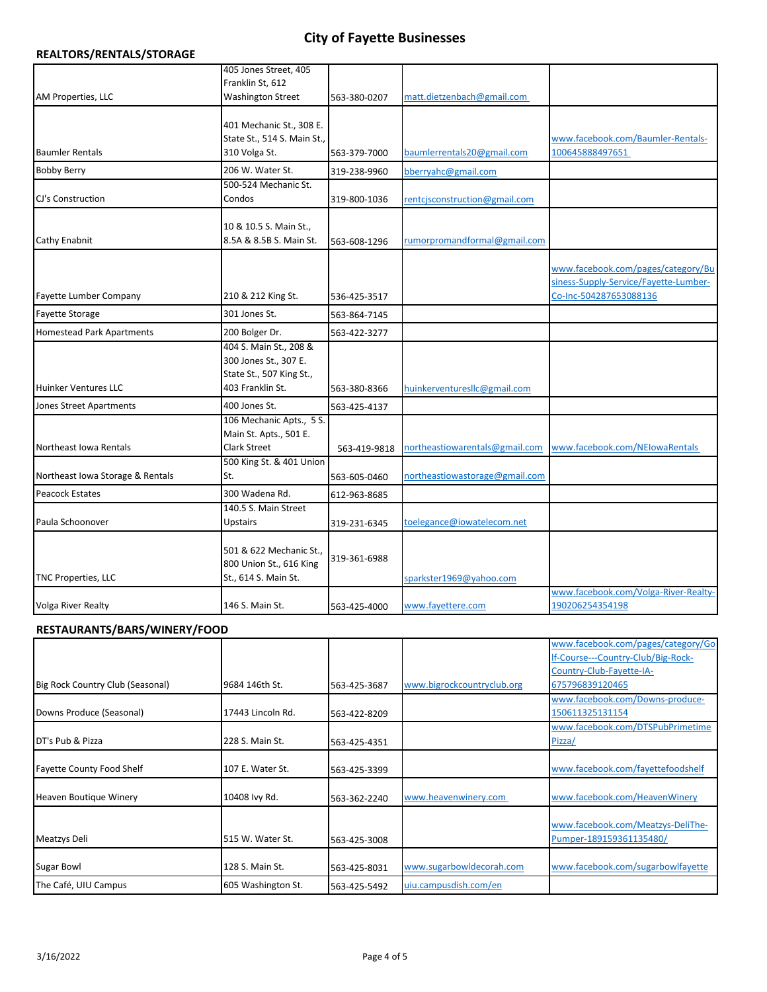#### **REALTORS/RENTALS/STORAGE**

|                                  | 405 Jones Street, 405                                   |              |                                |                                       |
|----------------------------------|---------------------------------------------------------|--------------|--------------------------------|---------------------------------------|
|                                  | Franklin St, 612                                        |              |                                |                                       |
| AM Properties, LLC               | <b>Washington Street</b>                                | 563-380-0207 | matt.dietzenbach@gmail.com     |                                       |
|                                  |                                                         |              |                                |                                       |
|                                  | 401 Mechanic St., 308 E.<br>State St., 514 S. Main St., |              |                                | www.facebook.com/Baumler-Rentals-     |
| <b>Baumler Rentals</b>           | 310 Volga St.                                           | 563-379-7000 | baumlerrentals20@gmail.com     | 100645888497651                       |
|                                  | 206 W. Water St.                                        |              |                                |                                       |
| <b>Bobby Berry</b>               |                                                         | 319-238-9960 | bberryahc@gmail.com            |                                       |
| CJ's Construction                | 500-524 Mechanic St.<br>Condos                          | 319-800-1036 | rentcjsconstruction@gmail.com  |                                       |
|                                  |                                                         |              |                                |                                       |
|                                  | 10 & 10.5 S. Main St.,                                  |              |                                |                                       |
| Cathy Enabnit                    | 8.5A & 8.5B S. Main St.                                 | 563-608-1296 | rumorpromandformal@gmail.com   |                                       |
|                                  |                                                         |              |                                |                                       |
|                                  |                                                         |              |                                | www.facebook.com/pages/category/Bu    |
|                                  |                                                         |              |                                | siness-Supply-Service/Fayette-Lumber- |
| <b>Fayette Lumber Company</b>    | 210 & 212 King St.                                      | 536-425-3517 |                                | Co-Inc-504287653088136                |
| <b>Fayette Storage</b>           | 301 Jones St.                                           | 563-864-7145 |                                |                                       |
| <b>Homestead Park Apartments</b> | 200 Bolger Dr.                                          | 563-422-3277 |                                |                                       |
|                                  | 404 S. Main St., 208 &                                  |              |                                |                                       |
|                                  | 300 Jones St., 307 E.                                   |              |                                |                                       |
|                                  | State St., 507 King St.,                                |              |                                |                                       |
| <b>Huinker Ventures LLC</b>      | 403 Franklin St.                                        | 563-380-8366 | huinkerventuresllc@gmail.com   |                                       |
| Jones Street Apartments          | 400 Jones St.                                           | 563-425-4137 |                                |                                       |
|                                  | 106 Mechanic Apts., 5 S.                                |              |                                |                                       |
|                                  | Main St. Apts., 501 E.                                  |              |                                |                                       |
| Northeast Iowa Rentals           | <b>Clark Street</b>                                     | 563-419-9818 | northeastiowarentals@gmail.com | www.facebook.com/NEIowaRentals        |
|                                  | 500 King St. & 401 Union                                |              |                                |                                       |
| Northeast Iowa Storage & Rentals | St.                                                     | 563-605-0460 | northeastiowastorage@gmail.com |                                       |
| <b>Peacock Estates</b>           | 300 Wadena Rd.                                          | 612-963-8685 |                                |                                       |
|                                  | 140.5 S. Main Street                                    |              |                                |                                       |
| Paula Schoonover                 | <b>Upstairs</b>                                         | 319-231-6345 | toelegance@iowatelecom.net     |                                       |
|                                  | 501 & 622 Mechanic St.,                                 |              |                                |                                       |
|                                  | 800 Union St., 616 King                                 | 319-361-6988 |                                |                                       |
| TNC Properties, LLC              | St., 614 S. Main St.                                    |              | sparkster1969@yahoo.com        |                                       |
|                                  |                                                         |              |                                | www.facebook.com/Volga-River-Realty-  |
| <b>Volga River Realty</b>        | 146 S. Main St.                                         | 563-425-4000 | www.fayettere.com              | 190206254354198                       |
|                                  |                                                         |              |                                |                                       |

#### **RESTAURANTS/BARS/WINERY/FOOD**

|                                  |                    |              |                            | www.facebook.com/pages/category/Go |
|----------------------------------|--------------------|--------------|----------------------------|------------------------------------|
|                                  |                    |              |                            | If-Course---Country-Club/Big-Rock- |
|                                  |                    |              |                            | Country-Club-Fayette-IA-           |
| Big Rock Country Club (Seasonal) | 9684 146th St.     | 563-425-3687 | www.bigrockcountryclub.org | 675796839120465                    |
|                                  |                    |              |                            | www.facebook.com/Downs-produce-    |
| Downs Produce (Seasonal)         | 17443 Lincoln Rd.  | 563-422-8209 |                            | 150611325131154                    |
|                                  |                    |              |                            | www.facebook.com/DTSPubPrimetime   |
| DT's Pub & Pizza                 | 228 S. Main St.    | 563-425-4351 |                            | Pizza/                             |
|                                  |                    |              |                            |                                    |
| <b>Favette County Food Shelf</b> | 107 E. Water St.   | 563-425-3399 |                            | www.facebook.com/fayettefoodshelf  |
|                                  |                    |              |                            |                                    |
| Heaven Boutique Winery           | 10408 Ivy Rd.      | 563-362-2240 | www.heavenwinery.com       | www.facebook.com/HeavenWinery      |
|                                  |                    |              |                            |                                    |
|                                  |                    |              |                            | www.facebook.com/Meatzys-DeliThe-  |
| Meatzys Deli                     | 515 W. Water St.   | 563-425-3008 |                            | Pumper-189159361135480/            |
|                                  |                    |              |                            |                                    |
| Sugar Bowl                       | 128 S. Main St.    | 563-425-8031 | www.sugarbowldecorah.com   | www.facebook.com/sugarbowlfayette  |
| The Café, UIU Campus             | 605 Washington St. | 563-425-5492 | uiu.campusdish.com/en      |                                    |